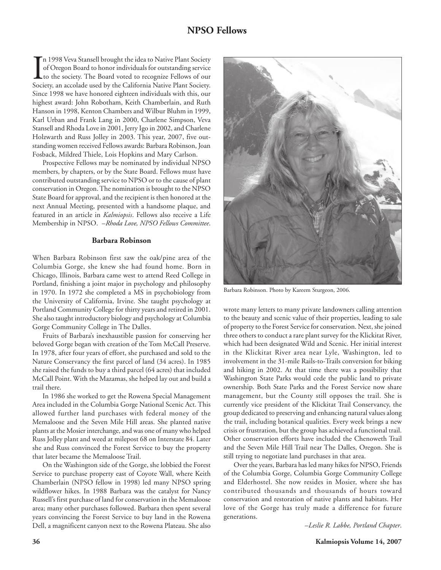## **NPSO Fellows**

I<br>Soci n 1998 Veva Stansell brought the idea to Native Plant Society of Oregon Board to honor individuals for outstanding service to the society. The Board voted to recognize Fellows of our Society, an accolade used by the California Native Plant Society. Since 1998 we have honored eighteen individuals with this, our highest award: John Robotham, Keith Chamberlain, and Ruth Hanson in 1998, Kenton Chambers and Wilbur Bluhm in 1999, Karl Urban and Frank Lang in 2000, Charlene Simpson, Veva Stansell and Rhoda Love in 2001, Jerry Igo in 2002, and Charlene Holzwarth and Russ Jolley in 2003. This year, 2007, five outstanding women received Fellows awards: Barbara Robinson, Joan Fosback, Mildred Thiele, Lois Hopkins and Mary Carlson.

Prospective Fellows may be nominated by individual NPSO members, by chapters, or by the State Board. Fellows must have contributed outstanding service to NPSO or to the cause of plant conservation in Oregon. The nomination is brought to the NPSO State Board for approval, and the recipient is then honored at the next Annual Meeting, presented with a handsome plaque, and featured in an article in *Kalmiopsis*. Fellows also receive a Life Membership in NPSO. –*Rhoda Love, NPSO Fellows Committee*.

## **Barbara Robinson**

When Barbara Robinson first saw the oak/pine area of the Columbia Gorge, she knew she had found home. Born in Chicago, Illinois, Barbara came west to attend Reed College in Portland, finishing a joint major in psychology and philosophy in 1970. In 1972 she completed a MS in psychobiology from the University of California, Irvine. She taught psychology at Portland Community College for thirty years and retired in 2001. She also taught introductory biology and psychology at Columbia Gorge Community College in The Dalles.

Fruits of Barbara's inexhaustible passion for conserving her beloved Gorge began with creation of the Tom McCall Preserve. In 1978, after four years of effort, she purchased and sold to the Nature Conservancy the first parcel of land (34 acres). In 1985 she raised the funds to buy a third parcel (64 acres) that included McCall Point. With the Mazamas, she helped lay out and build a trail there.

In 1986 she worked to get the Rowena Special Management Area included in the Columbia Gorge National Scenic Act. This allowed further land purchases with federal money of the Memaloose and the Seven Mile Hill areas. She planted native plants at the Mosier interchange, and was one of many who helped Russ Jolley plant and weed at milepost 68 on Interstate 84. Later she and Russ convinced the Forest Service to buy the property that later became the Memaloose Trail.

On the Washington side of the Gorge, she lobbied the Forest Service to purchase property east of Coyote Wall, where Keith Chamberlain (NPSO fellow in 1998) led many NPSO spring wildflower hikes. In 1988 Barbara was the catalyst for Nancy Russell's first purchase of land for conservation in the Memaloose area; many other purchases followed. Barbara then spent several years convincing the Forest Service to buy land in the Rowena Dell, a magnificent canyon next to the Rowena Plateau. She also



Barbara Robinson. Photo by Kareem Sturgeon, 2006.

wrote many letters to many private landowners calling attention to the beauty and scenic value of their properties, leading to sale of property to the Forest Service for conservation. Next, she joined three others to conduct a rare plant survey for the Klickitat River, which had been designated Wild and Scenic. Her initial interest in the Klickitat River area near Lyle, Washington, led to involvement in the 31-mile Rails-to-Trails conversion for biking and hiking in 2002. At that time there was a possibility that Washington State Parks would cede the public land to private ownership. Both State Parks and the Forest Service now share management, but the County still opposes the trail. She is currently vice president of the Klickitat Trail Conservancy, the group dedicated to preserving and enhancing natural values along the trail, including botanical qualities. Every week brings a new crisis or frustration, but the group has achieved a functional trail. Other conservation efforts have included the Chenoweth Trail and the Seven Mile Hill Trail near The Dalles, Oregon. She is still trying to negotiate land purchases in that area.

Over the years, Barbara has led many hikes for NPSO, Friends of the Columbia Gorge, Columbia Gorge Community College and Elderhostel. She now resides in Mosier, where she has contributed thousands and thousands of hours toward conservation and restoration of native plants and habitats. Her love of the Gorge has truly made a difference for future generations.

–*Leslie R. Labbe, Portland Chapter*.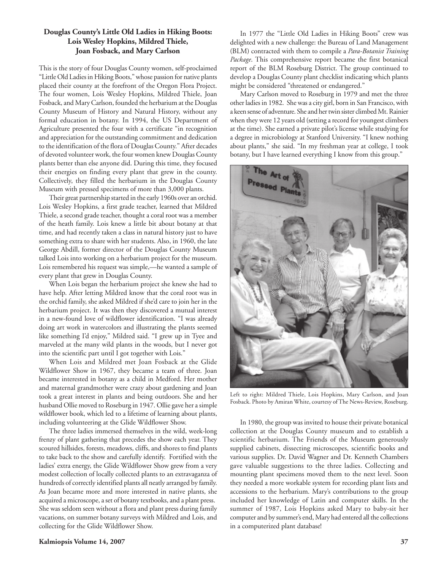## **Douglas County's Little Old Ladies in Hiking Boots: Lois Wesley Hopkins, Mildred Thiele, Joan Fosback, and Mary Carlson**

This is the story of four Douglas County women, self-proclaimed "Little Old Ladies in Hiking Boots," whose passion for native plants placed their county at the forefront of the Oregon Flora Project. The four women, Lois Wesley Hopkins, Mildred Thiele, Joan Fosback, and Mary Carlson, founded the herbarium at the Douglas County Museum of History and Natural History, without any formal education in botany. In 1994, the US Department of Agriculture presented the four with a certificate "in recognition and appreciation for the outstanding commitment and dedication to the identification of the flora of Douglas County." After decades of devoted volunteer work, the four women knew Douglas County plants better than else anyone did. During this time, they focused their energies on finding every plant that grew in the county. Collectively, they filled the herbarium in the Douglas County Museum with pressed specimens of more than 3,000 plants.

Their great partnership started in the early 1960s over an orchid. Lois Wesley Hopkins, a first grade teacher, learned that Mildred Thiele, a second grade teacher, thought a coral root was a member of the heath family. Lois knew a little bit about botany at that time, and had recently taken a class in natural history just to have something extra to share with her students. Also, in 1960, the late George Abdill, former director of the Douglas County Museum talked Lois into working on a herbarium project for the museum. Lois remembered his request was simple,—he wanted a sample of every plant that grew in Douglas County.

When Lois began the herbarium project she knew she had to have help. After letting Mildred know that the coral root was in the orchid family, she asked Mildred if she'd care to join her in the herbarium project. It was then they discovered a mutual interest in a new-found love of wildflower identification. "I was already doing art work in watercolors and illustrating the plants seemed like something I'd enjoy," Mildred said. "I grew up in Tyee and marveled at the many wild plants in the woods, but I never got into the scientific part until I got together with Lois."

When Lois and Mildred met Joan Fosback at the Glide Wildflower Show in 1967, they became a team of three. Joan became interested in botany as a child in Medford. Her mother and maternal grandmother were crazy about gardening and Joan took a great interest in plants and being outdoors. She and her husband Ollie moved to Roseburg in 1947. Ollie gave her a simple wildflower book, which led to a lifetime of learning about plants, including volunteering at the Glide Wildflower Show.

The three ladies immersed themselves in the wild, week-long frenzy of plant gathering that precedes the show each year. They scoured hillsides, forests, meadows, cliffs, and shores to find plants to take back to the show and carefully identify. Fortified with the ladies' extra energy, the Glide Wildflower Show grew from a very modest collection of locally collected plants to an extravaganza of hundreds of correctly identified plants all neatly arranged by family. As Joan became more and more interested in native plants, she acquired a microscope, a set of botany textbooks, and a plant press. She was seldom seen without a flora and plant press during family vacations, on summer botany surveys with Mildred and Lois, and collecting for the Glide Wildflower Show.

In 1977 the "Little Old Ladies in Hiking Boots" crew was delighted with a new challenge: the Bureau of Land Management (BLM) contracted with them to compile a *Para-Botanist Training Package*. This comprehensive report became the first botanical report of the BLM Roseburg District. The group continued to develop a Douglas County plant checklist indicating which plants might be considered "threatened or endangered."

Mary Carlson moved to Roseburg in 1979 and met the three other ladies in 1982. She was a city girl, born in San Francisco, with a keen sense of adventure. She and her twin sister climbed Mt. Rainier when they were 12 years old (setting a record for youngest climbers at the time). She earned a private pilot's license while studying for a degree in microbiology at Stanford University. "I knew nothing about plants," she said. "In my freshman year at college, I took botany, but I have learned everything I know from this group."



Left to right: Mildred Thiele, Lois Hopkins, Mary Carlson, and Joan Fosback. Photo by Amiran White, courtesy of The News-Review, Roseburg.

In 1980, the group was invited to house their private botanical collection at the Douglas County museum and to establish a scientific herbarium. The Friends of the Museum generously supplied cabinets, dissecting microscopes, scientific books and various supplies. Dr. David Wagner and Dr. Kenneth Chambers gave valuable suggestions to the three ladies. Collecting and mounting plant specimens moved them to the next level. Soon they needed a more workable system for recording plant lists and accessions to the herbarium. Mary's contributions to the group included her knowledge of Latin and computer skills. In the summer of 1987, Lois Hopkins asked Mary to baby-sit her computer and by summer's end, Mary had entered all the collections in a computerized plant database!